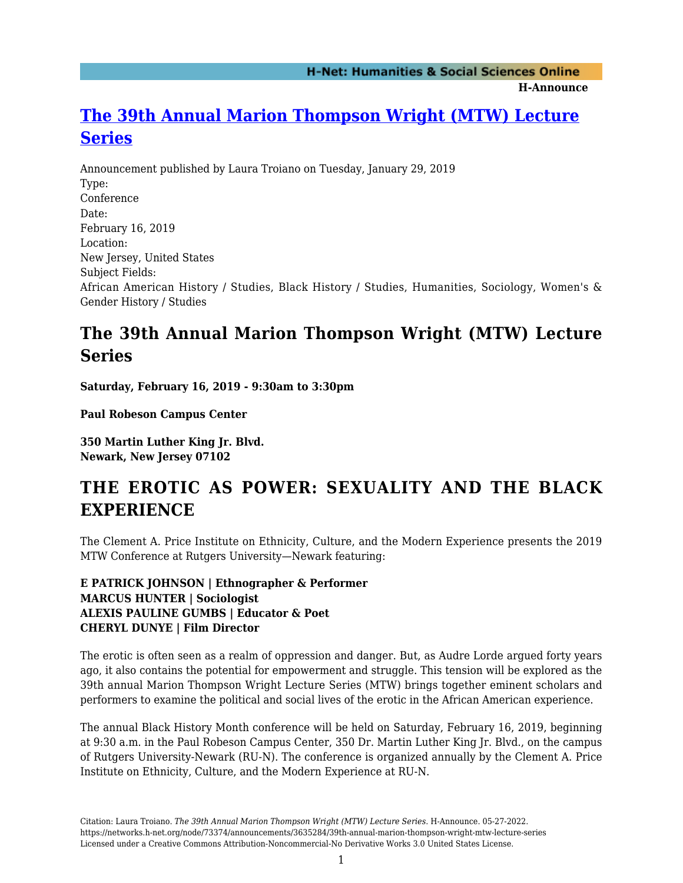**H-Announce** 

## **[The 39th Annual Marion Thompson Wright \(MTW\) Lecture](https://networks.h-net.org/node/73374/announcements/3635284/39th-annual-marion-thompson-wright-mtw-lecture-series) [Series](https://networks.h-net.org/node/73374/announcements/3635284/39th-annual-marion-thompson-wright-mtw-lecture-series)**

Announcement published by Laura Troiano on Tuesday, January 29, 2019 Type: Conference Date: February 16, 2019 Location: New Jersey, United States Subject Fields: African American History / Studies, Black History / Studies, Humanities, Sociology, Women's & Gender History / Studies

## **The 39th Annual Marion Thompson Wright (MTW) Lecture Series**

**Saturday, February 16, 2019 - 9:30am to 3:30pm**

**Paul Robeson Campus Center**

**350 Martin Luther King Jr. Blvd. Newark, New Jersey 07102**

## **THE EROTIC AS POWER: SEXUALITY AND THE BLACK EXPERIENCE**

The Clement A. Price Institute on Ethnicity, Culture, and the Modern Experience presents the 2019 MTW Conference at Rutgers University—Newark featuring:

**E PATRICK JOHNSON | Ethnographer & Performer MARCUS HUNTER | Sociologist ALEXIS PAULINE GUMBS | Educator & Poet CHERYL DUNYE | Film Director**

The erotic is often seen as a realm of oppression and danger. But, as Audre Lorde argued forty years ago, it also contains the potential for empowerment and struggle. This tension will be explored as the 39th annual Marion Thompson Wright Lecture Series (MTW) brings together eminent scholars and performers to examine the political and social lives of the erotic in the African American experience.

The annual Black History Month conference will be held on Saturday, February 16, 2019, beginning at 9:30 a.m. in the Paul Robeson Campus Center, 350 Dr. Martin Luther King Jr. Blvd., on the campus of Rutgers University-Newark (RU-N). The conference is organized annually by the Clement A. Price Institute on Ethnicity, Culture, and the Modern Experience at RU-N.